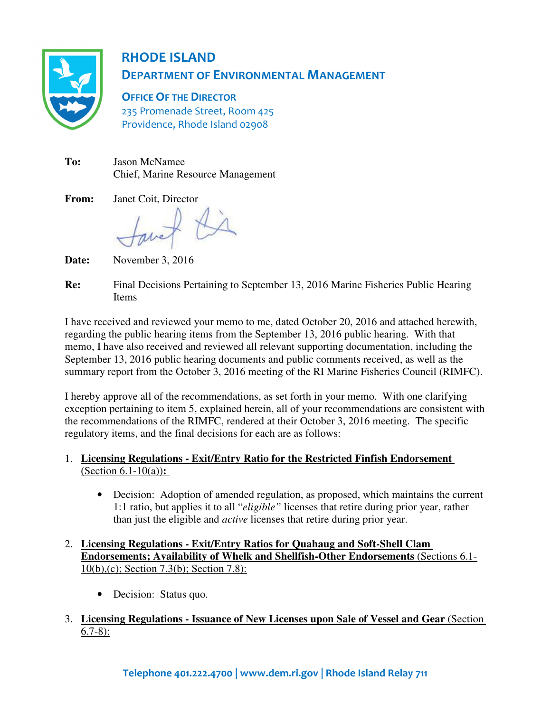

## RHODE ISLAND DEPARTMENT OF ENVIRONMENTAL MANAGEMENT

OFFICE OF THE DIRECTOR 235 Promenade Street, Room 425 Providence, Rhode Island 02908

| To: | <b>Jason McNamee</b>                     |
|-----|------------------------------------------|
|     | <b>Chief, Marine Resource Management</b> |

**From:** Janet Coit, Director

Date: **Date:** November 3, 2016

**Re:** Final Decisions Pertaining to September 13, 2016 Marine Fisheries Public Hearing Items

I have received and reviewed your memo to me, dated October 20, 2016 and attached herewith, regarding the public hearing items from the September 13, 2016 public hearing. With that memo, I have also received and reviewed all relevant supporting documentation, including the September 13, 2016 public hearing documents and public comments received, as well as the summary report from the October 3, 2016 meeting of the RI Marine Fisheries Council (RIMFC).

I hereby approve all of the recommendations, as set forth in your memo. With one clarifying exception pertaining to item 5, explained herein, all of your recommendations are consistent with the recommendations of the RIMFC, rendered at their October 3, 2016 meeting. The specific regulatory items, and the final decisions for each are as follows:

### 1. **Licensing Regulations - Exit/Entry Ratio for the Restricted Finfish Endorsement**  (Section 6.1-10(a))**:**

• Decision: Adoption of amended regulation, as proposed, which maintains the current 1:1 ratio, but applies it to all "*eligible"* licenses that retire during prior year, rather than just the eligible and *active* licenses that retire during prior year.

### 2. **Licensing Regulations - Exit/Entry Ratios for Quahaug and Soft-Shell Clam Endorsements; Availability of Whelk and Shellfish-Other Endorsements** (Sections 6.1- 10(b),(c); Section 7.3(b); Section 7.8):

- Decision: Status quo.
- 3. **Licensing Regulations Issuance of New Licenses upon Sale of Vessel and Gear** (Section  $6.7-8$ :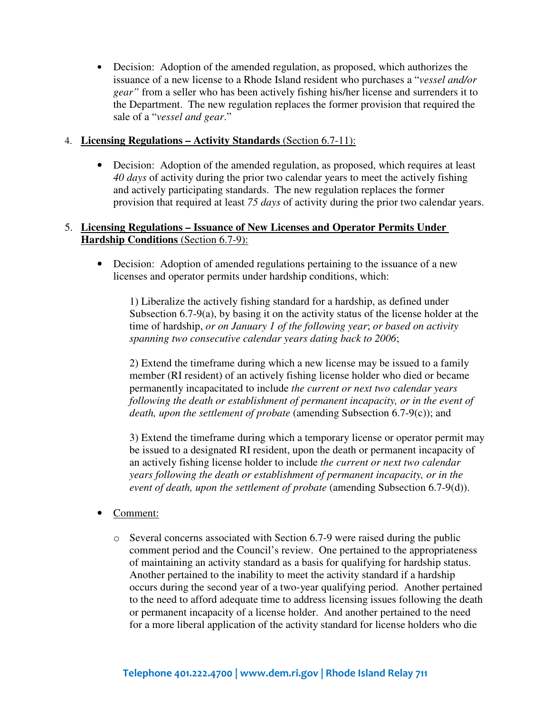• Decision: Adoption of the amended regulation, as proposed, which authorizes the issuance of a new license to a Rhode Island resident who purchases a "*vessel and/or gear"* from a seller who has been actively fishing his/her license and surrenders it to the Department. The new regulation replaces the former provision that required the sale of a "*vessel and gear*."

### 4. **Licensing Regulations – Activity Standards** (Section 6.7-11):

• Decision: Adoption of the amended regulation, as proposed, which requires at least *40 days* of activity during the prior two calendar years to meet the actively fishing and actively participating standards. The new regulation replaces the former provision that required at least *75 days* of activity during the prior two calendar years.

### 5. **Licensing Regulations – Issuance of New Licenses and Operator Permits Under Hardship Conditions** (Section 6.7-9):

• Decision: Adoption of amended regulations pertaining to the issuance of a new licenses and operator permits under hardship conditions, which:

1) Liberalize the actively fishing standard for a hardship, as defined under Subsection 6.7-9(a), by basing it on the activity status of the license holder at the time of hardship, *or on January 1 of the following year*; *or based on activity spanning two consecutive calendar years dating back to 2006*;

2) Extend the timeframe during which a new license may be issued to a family member (RI resident) of an actively fishing license holder who died or became permanently incapacitated to include *the current or next two calendar years*  following the death or establishment of permanent incapacity, or in the event of *death, upon the settlement of probate* (amending Subsection 6.7-9(c)); and

3) Extend the timeframe during which a temporary license or operator permit may be issued to a designated RI resident, upon the death or permanent incapacity of an actively fishing license holder to include *the current or next two calendar years following the death or establishment of permanent incapacity, or in the event of death, upon the settlement of probate* (amending Subsection 6.7-9(d)).

- Comment:
	- $\circ$  Several concerns associated with Section 6.7-9 were raised during the public comment period and the Council's review. One pertained to the appropriateness of maintaining an activity standard as a basis for qualifying for hardship status. Another pertained to the inability to meet the activity standard if a hardship occurs during the second year of a two-year qualifying period. Another pertained to the need to afford adequate time to address licensing issues following the death or permanent incapacity of a license holder. And another pertained to the need for a more liberal application of the activity standard for license holders who die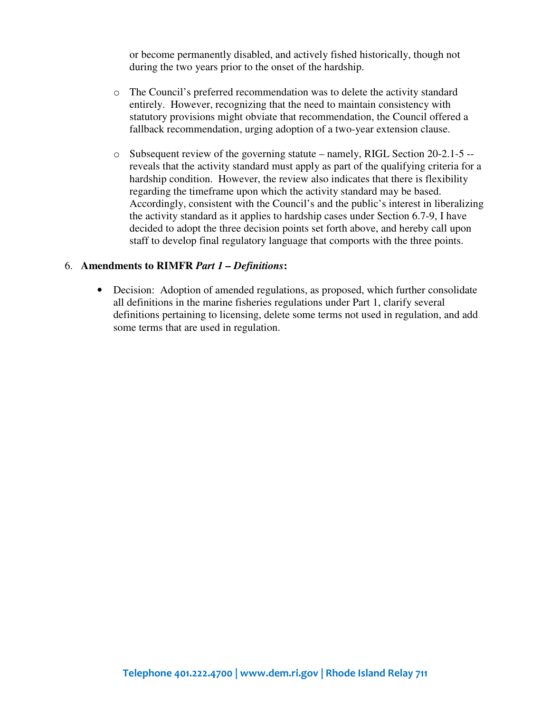or become permanently disabled, and actively fished historically, though not during the two years prior to the onset of the hardship.

- o The Council's preferred recommendation was to delete the activity standard entirely. However, recognizing that the need to maintain consistency with statutory provisions might obviate that recommendation, the Council offered a fallback recommendation, urging adoption of a two-year extension clause.
- $\circ$  Subsequent review of the governing statute namely, RIGL Section 20-2.1-5 -reveals that the activity standard must apply as part of the qualifying criteria for a hardship condition. However, the review also indicates that there is flexibility regarding the timeframe upon which the activity standard may be based. Accordingly, consistent with the Council's and the public's interest in liberalizing the activity standard as it applies to hardship cases under Section 6.7-9, I have decided to adopt the three decision points set forth above, and hereby call upon staff to develop final regulatory language that comports with the three points.

#### 6. **Amendments to RIMFR** *Part 1 – Definitions***:**

• Decision: Adoption of amended regulations, as proposed, which further consolidate all definitions in the marine fisheries regulations under Part 1, clarify several definitions pertaining to licensing, delete some terms not used in regulation, and add some terms that are used in regulation.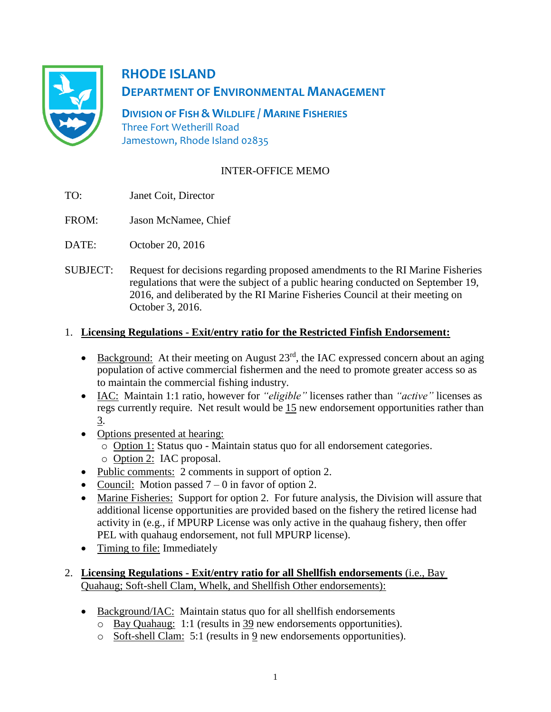

# **RHODE ISLAND DEPARTMENT OF ENVIRONMENTAL MANAGEMENT**

**DIVISION OF FISH & WILDLIFE / MARINE FISHERIES** Three Fort Wetherill Road Jamestown, Rhode Island 02835

## INTER-OFFICE MEMO

- TO: Janet Coit, Director
- FROM: Jason McNamee, Chief
- DATE: October 20, 2016
- SUBJECT: Request for decisions regarding proposed amendments to the RI Marine Fisheries regulations that were the subject of a public hearing conducted on September 19, 2016, and deliberated by the RI Marine Fisheries Council at their meeting on October 3, 2016.

## 1. **Licensing Regulations - Exit/entry ratio for the Restricted Finfish Endorsement:**

- Background: At their meeting on August  $23<sup>rd</sup>$ , the IAC expressed concern about an aging population of active commercial fishermen and the need to promote greater access so as to maintain the commercial fishing industry.
- IAC: Maintain 1:1 ratio, however for *"eligible"* licenses rather than *"active"* licenses as regs currently require. Net result would be 15 new endorsement opportunities rather than 3.
- Options presented at hearing:
	- o Option 1: Status quo Maintain status quo for all endorsement categories.
	- o Option 2: IAC proposal.
- Public comments: 2 comments in support of option 2.
- Council: Motion passed  $7 0$  in favor of option 2.
- Marine Fisheries: Support for option 2. For future analysis, the Division will assure that additional license opportunities are provided based on the fishery the retired license had activity in (e.g., if MPURP License was only active in the quahaug fishery, then offer PEL with quahaug endorsement, not full MPURP license).
- Timing to file: Immediately
- 2. **Licensing Regulations - Exit/entry ratio for all Shellfish endorsements** (i.e., Bay Quahaug; Soft-shell Clam, Whelk, and Shellfish Other endorsements):
	- Background/IAC: Maintain status quo for all shellfish endorsements
		- o Bay Quahaug: 1:1 (results in 39 new endorsements opportunities).
		- o Soft-shell Clam: 5:1 (results in 9 new endorsements opportunities).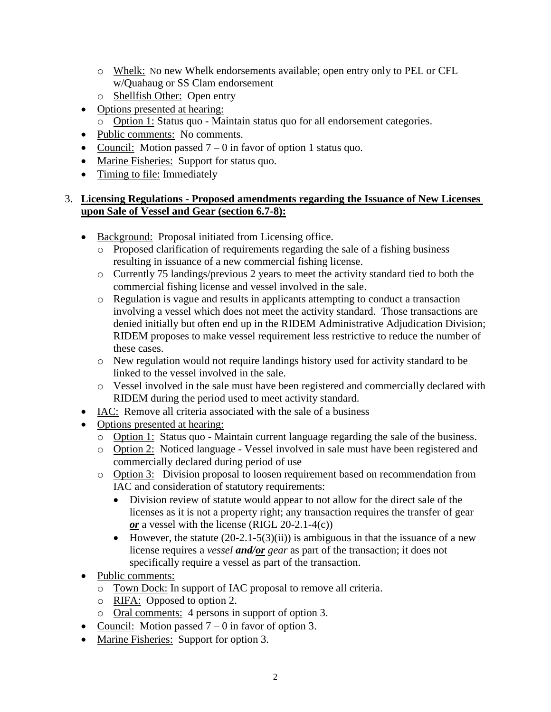- o Whelk: No new Whelk endorsements available; open entry only to PEL or CFL w/Quahaug or SS Clam endorsement
- o Shellfish Other: Open entry
- Options presented at hearing:
	- o Option 1: Status quo Maintain status quo for all endorsement categories.
- Public comments: No comments.
- Council: Motion passed  $7 0$  in favor of option 1 status quo.
- Marine Fisheries: Support for status quo.
- Timing to file: Immediately

#### 3. **Licensing Regulations - Proposed amendments regarding the Issuance of New Licenses upon Sale of Vessel and Gear (section 6.7-8):**

- Background: Proposal initiated from Licensing office.
	- o Proposed clarification of requirements regarding the sale of a fishing business resulting in issuance of a new commercial fishing license.
	- o Currently 75 landings/previous 2 years to meet the activity standard tied to both the commercial fishing license and vessel involved in the sale.
	- o Regulation is vague and results in applicants attempting to conduct a transaction involving a vessel which does not meet the activity standard. Those transactions are denied initially but often end up in the RIDEM Administrative Adjudication Division; RIDEM proposes to make vessel requirement less restrictive to reduce the number of these cases.
	- o New regulation would not require landings history used for activity standard to be linked to the vessel involved in the sale.
	- o Vessel involved in the sale must have been registered and commercially declared with RIDEM during the period used to meet activity standard.
- IAC: Remove all criteria associated with the sale of a business
- Options presented at hearing:
	- o Option 1: Status quo Maintain current language regarding the sale of the business.
	- o Option 2: Noticed language Vessel involved in sale must have been registered and commercially declared during period of use
	- o Option 3: Division proposal to loosen requirement based on recommendation from IAC and consideration of statutory requirements:
		- Division review of statute would appear to not allow for the direct sale of the licenses as it is not a property right; any transaction requires the transfer of gear *or* a vessel with the license (RIGL 20-2.1-4(c))
		- However, the statute  $(20-2.1-5(3)(ii))$  is ambiguous in that the issuance of a new license requires a *vessel and/or gear* as part of the transaction; it does not specifically require a vessel as part of the transaction.
- Public comments:
	- o Town Dock: In support of IAC proposal to remove all criteria.
	- o RIFA: Opposed to option 2.
	- o Oral comments: 4 persons in support of option 3.
- Council: Motion passed  $7 0$  in favor of option 3.
- Marine Fisheries: Support for option 3.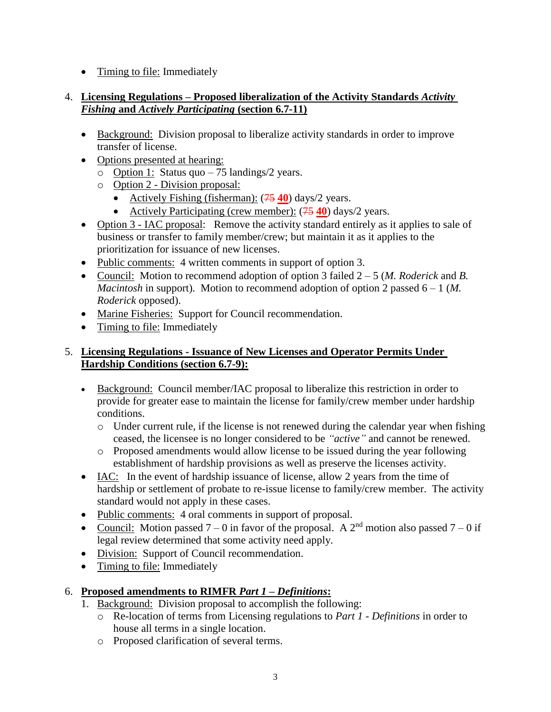• Timing to file: Immediately

### 4. **Licensing Regulations – Proposed liberalization of the Activity Standards** *Activity Fishing* **and** *Actively Participating* **(section 6.7-11)**

- Background: Division proposal to liberalize activity standards in order to improve transfer of license.
- Options presented at hearing:
	- $\circ$  Option 1: Status quo 75 landings/2 years.
	- o Option 2 Division proposal:
		- Actively Fishing (fisherman): (75 **40**) days/2 years.
		- Actively Participating (crew member):  $(75 40)$  days/2 years.
- Option 3 IAC proposal: Remove the activity standard entirely as it applies to sale of business or transfer to family member/crew; but maintain it as it applies to the prioritization for issuance of new licenses.
- Public comments: 4 written comments in support of option 3.
- Council: Motion to recommend adoption of option 3 failed 2 5 (*M. Roderick* and *B. Macintosh* in support). Motion to recommend adoption of option 2 passed 6 – 1 (*M. Roderick* opposed).
- Marine Fisheries: Support for Council recommendation.
- Timing to file: Immediately

## 5. **Licensing Regulations - Issuance of New Licenses and Operator Permits Under Hardship Conditions (section 6.7-9):**

- Background: Council member/IAC proposal to liberalize this restriction in order to provide for greater ease to maintain the license for family/crew member under hardship conditions.
	- o Under current rule, if the license is not renewed during the calendar year when fishing ceased, the licensee is no longer considered to be *"active"* and cannot be renewed.
	- o Proposed amendments would allow license to be issued during the year following establishment of hardship provisions as well as preserve the licenses activity.
- IAC: In the event of hardship issuance of license, allow 2 years from the time of hardship or settlement of probate to re-issue license to family/crew member. The activity standard would not apply in these cases.
- Public comments: 4 oral comments in support of proposal.
- Council: Motion passed  $7 0$  in favor of the proposal. A  $2<sup>nd</sup>$  motion also passed  $7 0$  if legal review determined that some activity need apply.
- Division: Support of Council recommendation.
- Timing to file: Immediately

## 6. **Proposed amendments to RIMFR** *Part 1 – Definitions***:**

- 1. Background: Division proposal to accomplish the following:
	- o Re-location of terms from Licensing regulations to *Part 1 - Definitions* in order to house all terms in a single location.
	- o Proposed clarification of several terms.